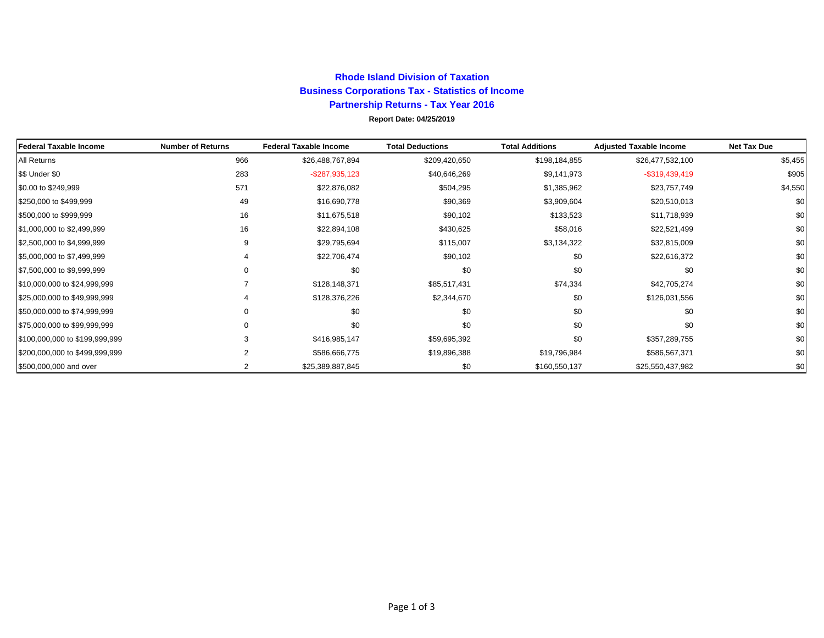## **Rhode Island Division of TaxationBusiness Corporations Tax - Statistics of Income Partnership Returns - Tax Year 2016 Report Date: 04/25/2019**

| <b>Federal Taxable Income</b>  | <b>Number of Returns</b> | <b>Federal Taxable Income</b> | <b>Total Deductions</b> | <b>Total Additions</b> | <b>Adjusted Taxable Income</b> | Net Tax Due |
|--------------------------------|--------------------------|-------------------------------|-------------------------|------------------------|--------------------------------|-------------|
| All Returns                    | 966                      | \$26,488,767,894              | \$209,420,650           | \$198,184,855          | \$26,477,532,100               | \$5,455     |
| \$\$ Under \$0                 | 283                      | $-$ \$287,935,123             | \$40,646,269            | \$9,141,973            | $-$ \$319,439,419              | \$905       |
| \$0.00 to \$249,999            | 571                      | \$22,876,082                  | \$504,295               | \$1,385,962            | \$23,757,749                   | \$4,550     |
| \$250,000 to \$499,999         | 49                       | \$16,690,778                  | \$90,369                | \$3,909,604            | \$20,510,013                   | \$0         |
| \$500,000 to \$999,999         | 16                       | \$11,675,518                  | \$90,102                | \$133,523              | \$11,718,939                   | \$0         |
| \$1,000,000 to \$2,499,999     | 16                       | \$22,894,108                  | \$430,625               | \$58,016               | \$22,521,499                   | \$0         |
| \$2,500,000 to \$4,999,999     | 9                        | \$29,795,694                  | \$115,007               | \$3,134,322            | \$32,815,009                   | \$0         |
| \$5,000,000 to \$7,499,999     |                          | \$22,706,474                  | \$90,102                | \$0                    | \$22,616,372                   | \$0         |
| \$7,500,000 to \$9,999,999     | $\Omega$                 | \$0                           | \$0                     | \$0                    | \$0                            | \$0         |
| \$10,000,000 to \$24,999,999   |                          | \$128,148,371                 | \$85,517,431            | \$74,334               | \$42,705,274                   | \$0         |
| \$25,000,000 to \$49,999,999   |                          | \$128,376,226                 | \$2,344,670             | \$0                    | \$126,031,556                  | \$0         |
| \$50,000,000 to \$74,999,999   |                          | \$0                           | \$0                     | \$0                    | \$0                            | \$0         |
| \$75,000,000 to \$99,999,999   | <sup>0</sup>             | \$0                           | \$0                     | \$0                    | \$0                            | \$0         |
| \$100,000,000 to \$199,999,999 |                          | \$416,985,147                 | \$59,695,392            | \$0                    | \$357,289,755                  | \$0         |
| \$200,000,000 to \$499,999,999 |                          | \$586,666,775                 | \$19,896,388            | \$19,796,984           | \$586,567,371                  | \$0         |
| \$500,000,000 and over         |                          | \$25,389,887,845              | \$0                     | \$160,550,137          | \$25,550,437,982               | \$0         |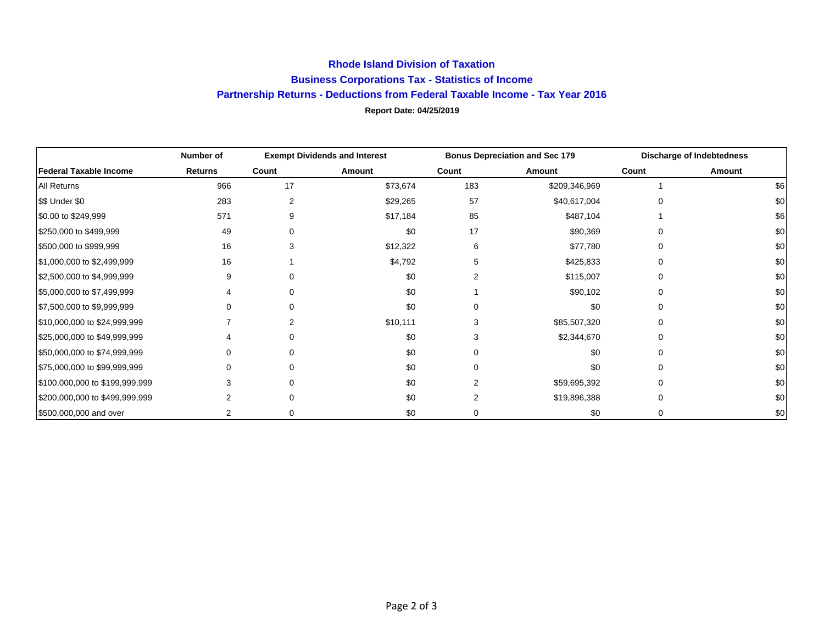## **Rhode Island Division of Taxation Business Corporations Tax - Statistics of Income Partnership Returns - Deductions from Federal Taxable Income - Tax Year 2016 Report Date: 04/25/2019**

|                                | Number of      | <b>Exempt Dividends and Interest</b> |          | <b>Bonus Depreciation and Sec 179</b> |               | <b>Discharge of Indebtedness</b> |        |
|--------------------------------|----------------|--------------------------------------|----------|---------------------------------------|---------------|----------------------------------|--------|
| <b>Federal Taxable Income</b>  | <b>Returns</b> | Count                                | Amount   | Count                                 | Amount        | Count                            | Amount |
| <b>All Returns</b>             | 966            | 17                                   | \$73,674 | 183                                   | \$209,346,969 |                                  | \$6    |
| \$\$ Under \$0                 | 283            |                                      | \$29,265 | 57                                    | \$40,617,004  |                                  | \$0    |
| \$0.00 to \$249,999            | 571            |                                      | \$17,184 | 85                                    | \$487,104     |                                  | \$6    |
| \$250,000 to \$499,999         | 49             |                                      | \$0      | 17                                    | \$90,369      |                                  | \$0    |
| \$500,000 to \$999,999         | 16             |                                      | \$12,322 | 6                                     | \$77,780      |                                  | \$0    |
| \$1,000,000 to \$2,499,999     | 16             |                                      | \$4,792  |                                       | \$425,833     |                                  | \$0    |
| \$2,500,000 to \$4,999,999     |                |                                      | \$0      |                                       | \$115,007     |                                  | \$0    |
| \$5,000,000 to \$7,499,999     |                |                                      | \$0      |                                       | \$90,102      |                                  | \$0    |
| \$7,500,000 to \$9,999,999     |                |                                      | \$0      |                                       | \$0           |                                  | \$0    |
| \$10,000,000 to \$24,999,999   |                |                                      | \$10,111 | 3                                     | \$85,507,320  | 0                                | \$0    |
| \$25,000,000 to \$49,999,999   |                |                                      | \$0      |                                       | \$2,344,670   |                                  | \$0    |
| \$50,000,000 to \$74,999,999   |                |                                      | \$0      |                                       | \$0           |                                  | \$0    |
| \$75,000,000 to \$99,999,999   |                |                                      | \$0      |                                       | \$0           |                                  | \$0    |
| \$100,000,000 to \$199,999,999 |                |                                      | \$0      | 2                                     | \$59,695,392  |                                  | \$0    |
| \$200,000,000 to \$499,999,999 |                |                                      | \$0      |                                       | \$19,896,388  |                                  | \$0    |
| \$500,000,000 and over         |                |                                      | \$0      |                                       | \$0           |                                  | \$0    |